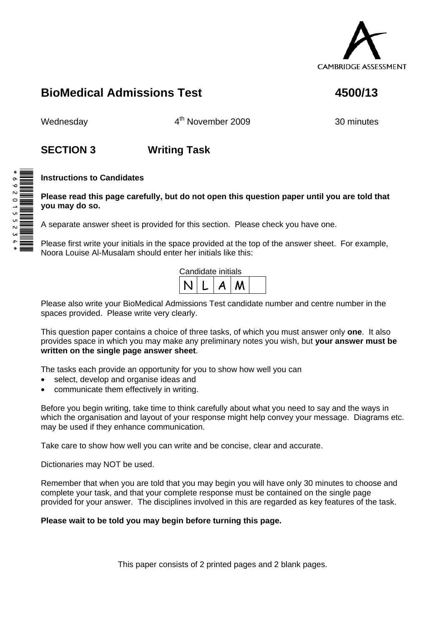

# **BioMedical Admissions Test 4500/13**

Wednesday **4<sup>th</sup> November 2009** 30 minutes

## **SECTION 3 Writing Task**

### **Instructions to Candidates**

**Please read this page carefully, but do not open this question paper until you are told that you may do so.** 

A separate answer sheet is provided for this section. Please check you have one.

Please first write your initials in the space provided at the top of the answer sheet. For example, Noora Louise Al-Musalam should enter her initials like this:



Please also write your BioMedical Admissions Test candidate number and centre number in the spaces provided. Please write very clearly.

This question paper contains a choice of three tasks, of which you must answer only **one**. It also provides space in which you may make any preliminary notes you wish, but **your answer must be written on the single page answer sheet**.

The tasks each provide an opportunity for you to show how well you can

- select, develop and organise ideas and
- communicate them effectively in writing.

Before you begin writing, take time to think carefully about what you need to say and the ways in which the organisation and layout of your response might help convey your message. Diagrams etc. may be used if they enhance communication.

Take care to show how well you can write and be concise, clear and accurate.

Dictionaries may NOT be used.

Remember that when you are told that you may begin you will have only 30 minutes to choose and complete your task, and that your complete response must be contained on the single page provided for your answer. The disciplines involved in this are regarded as key features of the task.

### **Please wait to be told you may begin before turning this page.**

This paper consists of 2 printed pages and 2 blank pages.

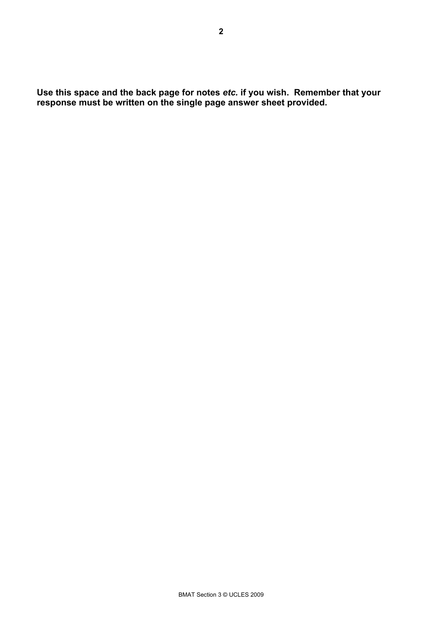**Use this space and the back page for notes** *etc.* **if you wish. Remember that your response must be written on the single page answer sheet provided.**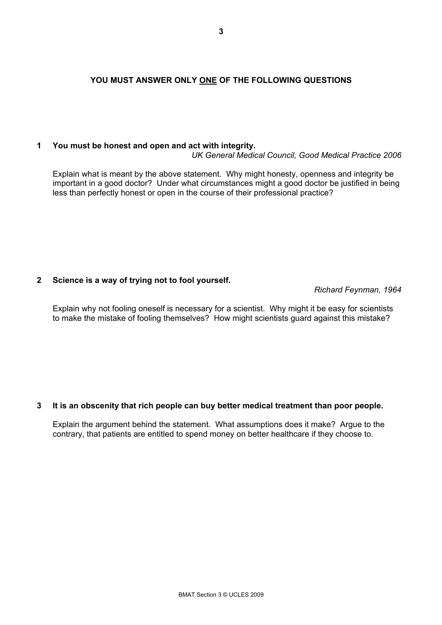#### **YOU MUST ANSWER ONLY ONE OF THE FOLLOWING QUESTIONS**

#### **1 You must be honest and open and act with integrity.**

*UK General Medical Council, Good Medical Practice 2006*

Explain what is meant by the above statement. Why might honesty, openness and integrity be important in a good doctor? Under what circumstances might a good doctor be justified in being less than perfectly honest or open in the course of their professional practice?

#### **2 Science is a way of trying not to fool yourself.**

*Richard Feynman, 1964*

Explain why not fooling oneself is necessary for a scientist. Why might it be easy for scientists to make the mistake of fooling themselves? How might scientists guard against this mistake?

#### **3 It is an obscenity that rich people can buy better medical treatment than poor people.**

Explain the argument behind the statement. What assumptions does it make? Argue to the contrary, that patients are entitled to spend money on better healthcare if they choose to.